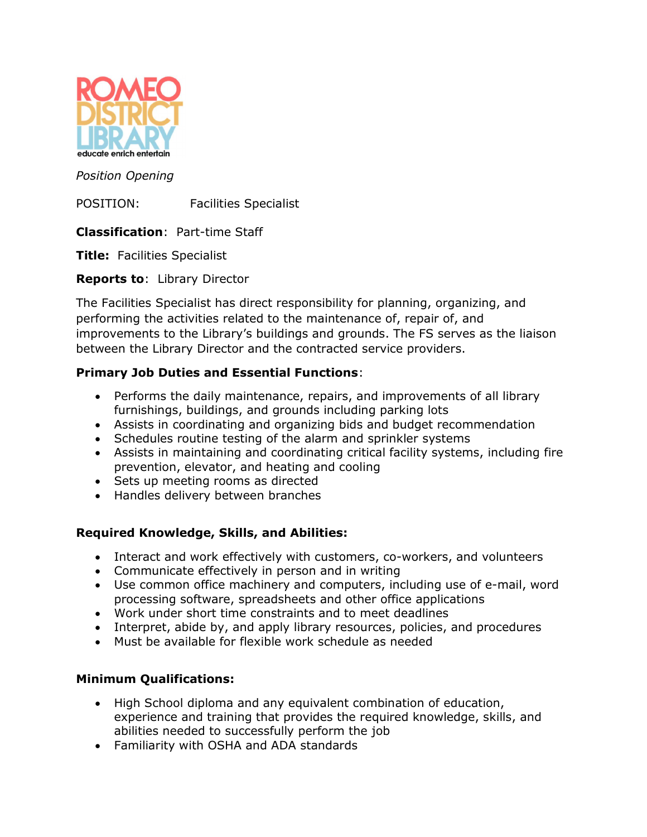

Position Opening

POSITION: Facilities Specialist

Classification: Part-time Staff

**Title:** Facilities Specialist

Reports to: Library Director

The Facilities Specialist has direct responsibility for planning, organizing, and performing the activities related to the maintenance of, repair of, and improvements to the Library's buildings and grounds. The FS serves as the liaison between the Library Director and the contracted service providers.

## Primary Job Duties and Essential Functions:

- Performs the daily maintenance, repairs, and improvements of all library furnishings, buildings, and grounds including parking lots
- Assists in coordinating and organizing bids and budget recommendation
- Schedules routine testing of the alarm and sprinkler systems
- Assists in maintaining and coordinating critical facility systems, including fire prevention, elevator, and heating and cooling
- Sets up meeting rooms as directed
- Handles delivery between branches

## Required Knowledge, Skills, and Abilities:

- Interact and work effectively with customers, co-workers, and volunteers
- Communicate effectively in person and in writing
- Use common office machinery and computers, including use of e-mail, word processing software, spreadsheets and other office applications
- Work under short time constraints and to meet deadlines
- Interpret, abide by, and apply library resources, policies, and procedures
- Must be available for flexible work schedule as needed

## Minimum Qualifications:

- High School diploma and any equivalent combination of education, experience and training that provides the required knowledge, skills, and abilities needed to successfully perform the job
- Familiarity with OSHA and ADA standards